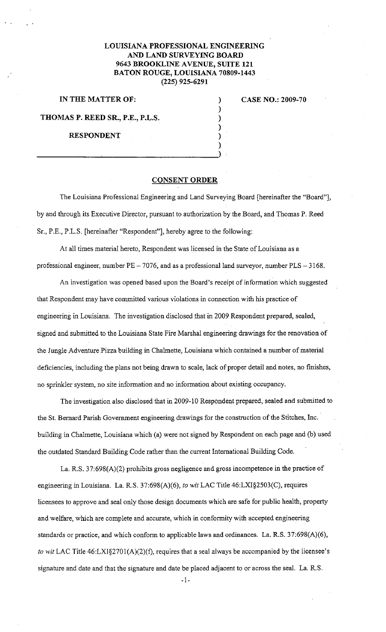## **LOUISIANA PROFESSIONAL ENGINEERING AND LAND SURVEYING BOARD 9643 BROOKLINE AVENUE, SUITE 121 BATON ROUGE, LOUISIANA 70809-1443 (225) 925-6291**

) ) ) ) ) )

## **IN THE MATTER OF:**

## **CASE NO.: 2009-70**

**THOMAS P. REED SR., P.E., P.L.S.** 

**RESPONDENT** 

## **CONSENT ORDER**

The Louisiana Professional Engineering and Land Surveying Board [hereinafter the "Board"], by and through its Executive Director, pursuant to authorization by the Board, and Thomas P. Reed Sr., P.E., P.L.S. [hereinafter "Respondent"], hereby agree to the following:

At all times material hereto, Respondent was licensed in the State of Louisiana as a professional engineer, number  $PE - 7076$ , and as a professional land surveyor, number  $PLS - 3168$ .

An investigation was opened based upon the Board's receipt of information which suggested that Respondent may have committed various violations in connection with his practice of engineering in Louisiana. The investigation disclosed that in 2009 Respondent prepared, sealed, signed and submitted to the Louisiana State Fire Marshal engineering drawings for the renovation of the Jungle Adventure Pizza building in Chalmette, Louisiana which contained a number of material deficiencies, including the plans not being drawn to scale, lack of proper detail and notes, no finishes, no sprinkler system, no site information and no information about existing occupancy.

The investigation also disclosed that in 2009-10 Respondent prepared, sealed and submitted to the St. Bernard Parish Government engineering drawings for the construction of the Stitches, Inc. building in Chalmette, Louisiana which (a) were not signed by Respondent on each page and (b) used the outdated Standard Building Code rather than the current International Building Code.

La. R.S. 37:698(A)(2) prohibits gross negligence and gross incompetence in the practice of engineering in Louisiana. La. R.S. 37:698(A)(6), *to* wit LAC Title 46:LXI§2503(C), requires licensees to approve and seal only those design documents which are safe for public health, property and welfare, which are complete and accurate, which in conformity with accepted engineering standards or practice, and which conform to applicable laws and ordinances. La. R.S. 37:698(A)(6), *to wit* LAC Title 46:LX1§2701(A)(2)(f), requires that a seal always be accompanied by the licensee's signature and date and that the signature and date be placed adjacent to or across the seal. La. R.S.

 $-1-$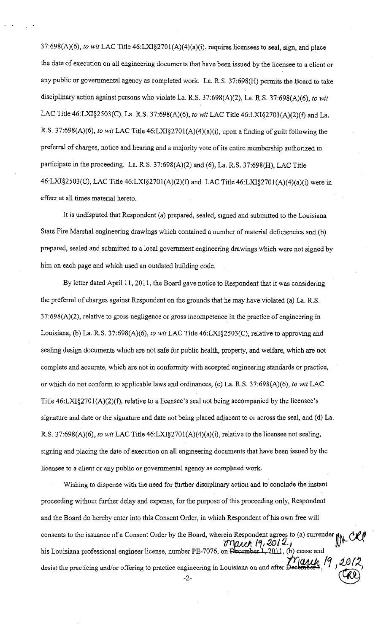37:698(A)(6), *to wit* LAC Title 46:LXI§2701(A)(4)(a)(i), requires licensees to seal, sign, and place the date of execution on all engineering documents that have been issued by the licensee to a client or any public or governmental agency as completed work. La. R.S. 37:698(H) permits the Board to take disciplinary action against persons who violate La. R.S. 37:698(A)(2), La. R.S. 37:698(A)(6), *to wit*  LAC Title 46:LXI§2503(C), La. R.S. 37:698(A)(6), *to wit* LAC Title 46:LXI§270!(A)(2)(f) and La. R.S. 37:698(A)(6), *to wit* LAC Title 46:LXI§270l(A)(4)(a)(i), upon a fmding of guilt following the preferral of charges, notice and hearing and a majority vote of its entire membership authorized to participate in the proceeding. La. R.S. 37:698(A)(2) and (6), La. R.S. 37:698(H), LAC Title 46:LXI§2503(C), LAC Title 46:LXI§270l(A)(2)(f) and LAC Title 46:LXI§270!(A)(4)(a)(i) were in effect at all times material hereto.

It is undisputed that Respondent (a) prepared, sealed, signed and submitted to the Louisiana State Fire Marshal engineering drawings which contained a number of material deficiencies and (b) prepared, sealed and submitted to a local government engineering drawings which were not signed by him on each page and which used an outdated building code.

By letter dated April 11, 2011, the Board gave notice to Respondent that it was considering the preferral of charges against Respondent on the grounds that he may have violated (a) La. R.S. 37:698(A)(2), relative to gross negligence or gross incompetence in the practice of engineering in Louisiana, (b) La. R.S. 37:698(A)(6), *to wit* LAC Title 46:LXI§2503(C), relative to approving and sealing design documents which are not safe for public health, property, and welfare, which are not complete and accurate, which are not in conformity with accepted engineering standards or practice, or which do not conform to applicable laws and ordinances, (c) La. R.S. 37:698(A)(6), *to wit* LAC Title 46:LX1§270l(A)(2)(f), relative to a licensee's seal not being accompanied by the licensee's signature and date or the signature and date not being placed adjacent to or across the seal, and (d) La. R.S. 37:698(A)(6), *to wit* LAC Title 46:LXI§270l(A)(4)(a)(i), relative to the licensee not sealing, signing and placing the date of execution on all engineering documents that have been issued by the licensee to a client or any public or governmental agency as completed work.

Wishing to dispense with the need for further disciplinary action and to conclude the instant proceeding without further delay and expense, for the purpose of this proceeding only, Respondent and the Board do hereby enter into this Consent Order, in which Respondent of his own free will consents to the issuance of a Consent Order by the Board, wherein Respondent agrees to (a) surrender  $\eta$  CRP<br>his Louisiana professional engineer license, number PE-7076, on December 1, 2012,<br>decist the precticing and/or his Louisiana professional engineer license, number PE-7076, on  $D$ ecember 1, 2011, (b) cease and his Louisiana professional engineer license, number PE-7076, on December 1, 2012, (b) cease and<br>desist the practicing and/or offering to practice engineering in Louisiana on and after December 1, 19, 2012, gineering in Louisiana on and after  $D$ **ecting**  $\vec{B}$ ,  $\vec{A}$ ,  $\vec{C}$   $\vec{R}$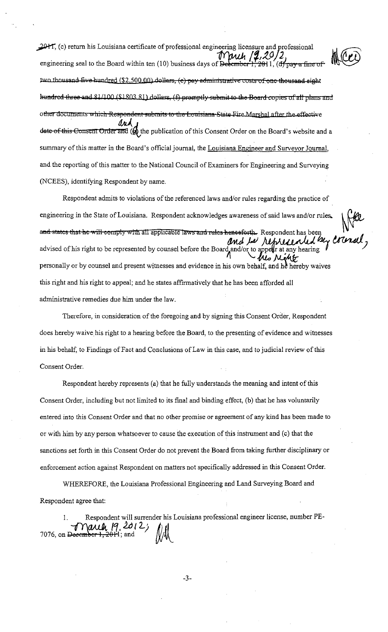2011, (c) return his Louisiana certificate of professional engineering licensure and professional<br>engineering seal to the Board within ten (10) business days of <del>December 1, 20</del>11, (d) pay a fine of two thousand five hundred (\$2,500,00) dollars, (c) pay administrative costs of one thousand eight hundred three and 81/100 (\$1803.81) dollars, (f) promptly submit to the Board copies of all plans and other documents which Respondent submits to the Louisiana State Fire Marshal after the effective date of this Consent Order and ( $\oint$  the publication of this Consent Order on the Board's website and a summary of this matter in the Board's official journal, the Louisiana Engineer and Surveyor Journal, and the reporting of this matter to the National Council of Examiners for Engineering and Surveying (NCEES), identifying Respondent by name.

Respondent admits to violations of the referenced laws and/or rules regarding the practice of engineering in the State of Louisiana. Respondent acknowledges awareness of said laws and/or rules, and states that he will comply with all applicable laws and rules henceforth. Respondent has been resented by and be re advised of his right to be represented by counsel before the Board and/or to appear at any hearing personally or by counsel and present witnesses and evidence in his own behalf, and he hereby waives this right and his right to appeal; and he states affirmatively that he has been afforded all administrative remedies due him under the law.

Therefore, in consideration of the foregoing and by signing this Consent Order, Respondent does hereby waive his right to a hearing before the Board, to the presenting of evidence and witnesses in his behalf, to Findings of Fact and Conclusions of Law in this case, and to judicial review of this Consent Order.

Respondent hereby represents (a) that he fully understands the meaning and intent of this Consent Order, including but not limited to its final and binding effect, (b) that he has voluntarily entered into this Consent Order and that no other promise or agreement of any kind has been made to or with him by any person whatsoever to cause the execution of this instrument and (c) that the sanctions set forth in this Consent Order do not prevent the Board from taking further disciplinary or enforcement action against Respondent on matters not specifically addressed in this Consent Order.

WHEREFORE, the Louisiana Professional Engineering and Land Surveying Board and Respondent agree that:

Respondent will surrender his Louisiana professional engineer license, number PE $m$  and  $n$  2012,